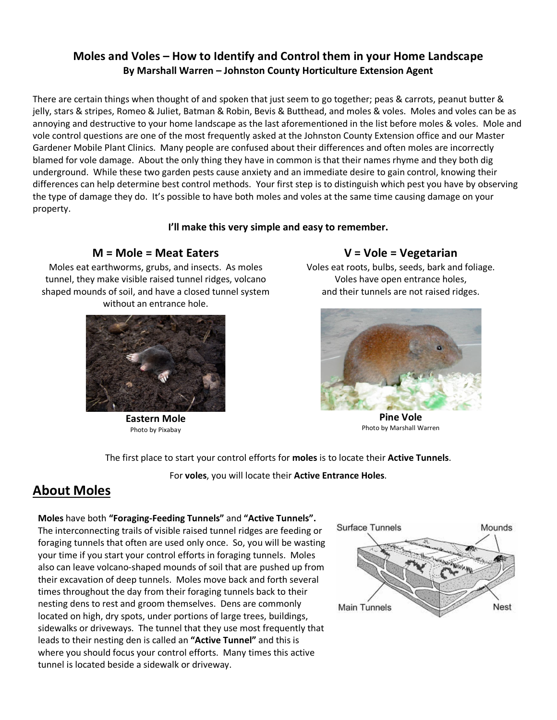# **Moles and Voles – How to Identify and Control them in your Home Landscape By Marshall Warren – Johnston County Horticulture Extension Agent**

There are certain things when thought of and spoken that just seem to go together; peas & carrots, peanut butter & jelly, stars & stripes, Romeo & Juliet, Batman & Robin, Bevis & Butthead, and moles & voles. Moles and voles can be as annoying and destructive to your home landscape as the last aforementioned in the list before moles & voles. Mole and vole control questions are one of the most frequently asked at the Johnston County Extension office and our Master Gardener Mobile Plant Clinics. Many people are confused about their differences and often moles are incorrectly blamed for vole damage. About the only thing they have in common is that their names rhyme and they both dig underground. While these two garden pests cause anxiety and an immediate desire to gain control, knowing their differences can help determine best control methods. Your first step is to distinguish which pest you have by observing the type of damage they do. It's possible to have both moles and voles at the same time causing damage on your property.

### **I'll make this very simple and easy to remember.**

# **M = Mole = Meat Eaters**

Moles eat earthworms, grubs, and insects. As moles tunnel, they make visible raised tunnel ridges, volcano shaped mounds of soil, and have a closed tunnel system without an entrance hole.



**Eastern Mole**  Photo by Pixabay

## **V = Vole = Vegetarian**

Voles eat roots, bulbs, seeds, bark and foliage. Voles have open entrance holes, and their tunnels are not raised ridges.



**Pine Vole**  Photo by Marshall Warren

The first place to start your control efforts for **moles** is to locate their **Active Tunnels**.

For **voles**, you will locate their **Active Entrance Holes**.

# **About Moles**

## **Moles** have both **"Foraging-Feeding Tunnels"** and **"Active Tunnels".**

The interconnecting trails of visible raised tunnel ridges are feeding or foraging tunnels that often are used only once. So, you will be wasting your time if you start your control efforts in foraging tunnels. Moles also can leave volcano-shaped mounds of soil that are pushed up from their excavation of deep tunnels. Moles move back and forth several times throughout the day from their foraging tunnels back to their nesting dens to rest and groom themselves. Dens are commonly located on high, dry spots, under portions of large trees, buildings, sidewalks or driveways. The tunnel that they use most frequently that leads to their nesting den is called an **"Active Tunnel"** and this is where you should focus your control efforts. Many times this active tunnel is located beside a sidewalk or driveway.

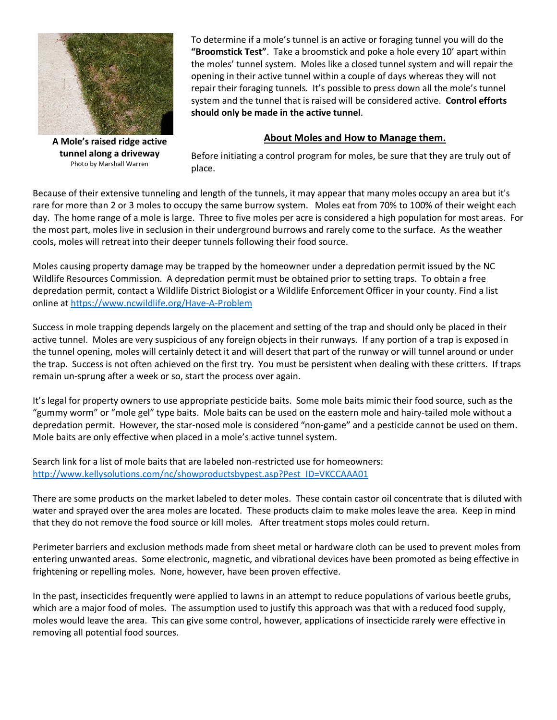

To determine if a mole's tunnel is an active or foraging tunnel you will do the **"Broomstick Test"**. Take a broomstick and poke a hole every 10' apart within the moles' tunnel system. Moles like a closed tunnel system and will repair the opening in their active tunnel within a couple of days whereas they will not repair their foraging tunnels. It's possible to press down all the mole's tunnel system and the tunnel that is raised will be considered active. **Control efforts should only be made in the active tunnel**.

### **About Moles and How to Manage them.**

**A Mole's raised ridge active tunnel along a driveway** Photo by Marshall Warren

Before initiating a control program for moles, be sure that they are truly out of place.

Because of their extensive tunneling and length of the tunnels, it may appear that many moles occupy an area but it's rare for more than 2 or 3 moles to occupy the same burrow system. Moles eat from 70% to 100% of their weight each day. The home range of a mole is large. Three to five moles per acre is considered a high population for most areas. For the most part, moles live in seclusion in their underground burrows and rarely come to the surface. As the weather cools, moles will retreat into their deeper tunnels following their food source.

Moles causing property damage may be trapped by the homeowner under a depredation permit issued by the NC Wildlife Resources Commission. A depredation permit must be obtained prior to setting traps. To obtain a free depredation permit, contact a Wildlife District Biologist or a Wildlife Enforcement Officer in your county. Find a list online at https://www.ncwildlife.org/Have-A-Problem

Success in mole trapping depends largely on the placement and setting of the trap and should only be placed in their active tunnel. Moles are very suspicious of any foreign objects in their runways. If any portion of a trap is exposed in the tunnel opening, moles will certainly detect it and will desert that part of the runway or will tunnel around or under the trap. Success is not often achieved on the first try. You must be persistent when dealing with these critters. If traps remain un-sprung after a week or so, start the process over again.

It's legal for property owners to use appropriate pesticide baits. Some mole baits mimic their food source, such as the "gummy worm" or "mole gel" type baits. Mole baits can be used on the eastern mole and hairy-tailed mole without a depredation permit. However, the star-nosed mole is considered "non-game" and a pesticide cannot be used on them. Mole baits are only effective when placed in a mole's active tunnel system.

Search link for a list of mole baits that are labeled non-restricted use for homeowners: http://www.kellysolutions.com/nc/showproductsbypest.asp?Pest\_ID=VKCCAAA01

There are some products on the market labeled to deter moles. These contain castor oil concentrate that is diluted with water and sprayed over the area moles are located. These products claim to make moles leave the area. Keep in mind that they do not remove the food source or kill moles. After treatment stops moles could return.

Perimeter barriers and exclusion methods made from sheet metal or hardware cloth can be used to prevent moles from entering unwanted areas. Some electronic, magnetic, and vibrational devices have been promoted as being effective in frightening or repelling moles. None, however, have been proven effective.

In the past, insecticides frequently were applied to lawns in an attempt to reduce populations of various beetle grubs, which are a major food of moles. The assumption used to justify this approach was that with a reduced food supply, moles would leave the area. This can give some control, however, applications of insecticide rarely were effective in removing all potential food sources.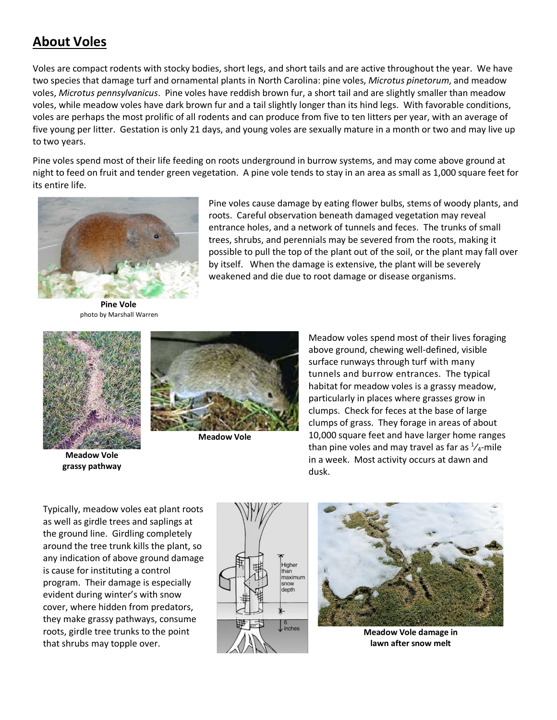# **About Voles**

Voles are compact rodents with stocky bodies, short legs, and short tails and are active throughout the year. We have two species that damage turf and ornamental plants in North Carolina: pine voles, *Microtus pinetorum*, and meadow voles, *Microtus pennsylvanicus*. Pine voles have reddish brown fur, a short tail and are slightly smaller than meadow voles, while meadow voles have dark brown fur and a tail slightly longer than its hind legs. With favorable conditions, voles are perhaps the most prolific of all rodents and can produce from five to ten litters per year, with an average of five young per litter. Gestation is only 21 days, and young voles are sexually mature in a month or two and may live up to two years.

Pine voles spend most of their life feeding on roots underground in burrow systems, and may come above ground at night to feed on fruit and tender green vegetation. A pine vole tends to stay in an area as small as 1,000 square feet for its entire life.



Pine voles cause damage by eating flower bulbs, stems of woody plants, and roots. Careful observation beneath damaged vegetation may reveal entrance holes, and a network of tunnels and feces. The trunks of small trees, shrubs, and perennials may be severed from the roots, making it possible to pull the top of the plant out of the soil, or the plant may fall over by itself. When the damage is extensive, the plant will be severely weakened and die due to root damage or disease organisms.

**Pine Vole** photo by Marshall Warren



**Meadow Vole grassy pathway**



**Meadow Vole**

Meadow voles spend most of their lives foraging above ground, chewing well-defined, visible surface runways through turf with many tunnels and burrow entrances. The typical habitat for meadow voles is a grassy meadow, particularly in places where grasses grow in clumps. Check for feces at the base of large clumps of grass. They forage in areas of about 10,000 square feet and have larger home ranges than pine voles and may travel as far as  $\frac{1}{4}$ -mile in a week. Most activity occurs at dawn and dusk.

Typically, meadow voles eat plant roots as well as girdle trees and saplings at the ground line. Girdling completely around the tree trunk kills the plant, so any indication of above ground damage is cause for instituting a control program. Their damage is especially evident during winter's with snow cover, where hidden from predators, they make grassy pathways, consume roots, girdle tree trunks to the point that shrubs may topple over.





**Meadow Vole damage in lawn after snow melt**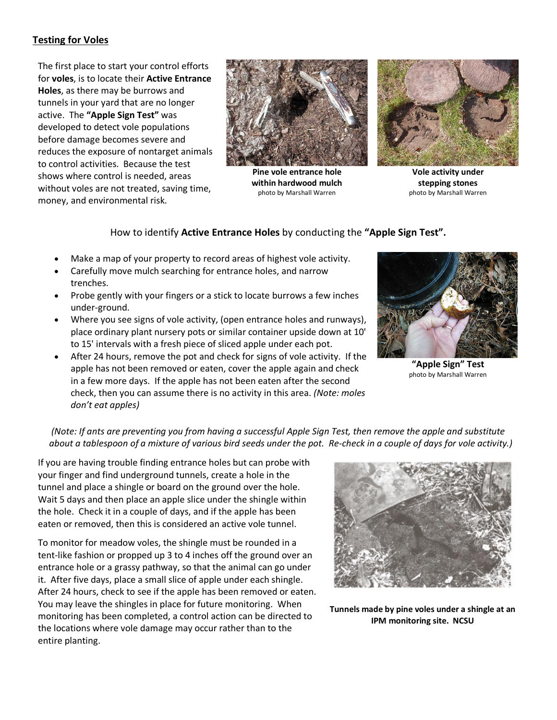## **Testing for Voles**

The first place to start your control efforts for **voles**, is to locate their **Active Entrance Holes**, as there may be burrows and tunnels in your yard that are no longer active. The **"Apple Sign Test"** was developed to detect vole populations before damage becomes severe and reduces the exposure of nontarget animals to control activities. Because the test shows where control is needed, areas without voles are not treated, saving time, money, and environmental risk.



**Pine vole entrance hole within hardwood mulch** photo by Marshall Warren



**Vole activity under stepping stones** photo by Marshall Warren

### How to identify **Active Entrance Holes** by conducting the **"Apple Sign Test".**

- Make a map of your property to record areas of highest vole activity.
- Carefully move mulch searching for entrance holes, and narrow trenches.
- Probe gently with your fingers or a stick to locate burrows a few inches under-ground.
- Where you see signs of vole activity, (open entrance holes and runways), place ordinary plant nursery pots or similar container upside down at 10' to 15' intervals with a fresh piece of sliced apple under each pot.
- After 24 hours, remove the pot and check for signs of vole activity. If the apple has not been removed or eaten, cover the apple again and check in a few more days. If the apple has not been eaten after the second check, then you can assume there is no activity in this area. *(Note: moles don't eat apples)*



**"Apple Sign" Test** photo by Marshall Warren

### *(Note: If ants are preventing you from having a successful Apple Sign Test, then remove the apple and substitute about a tablespoon of a mixture of various bird seeds under the pot. Re-check in a couple of days for vole activity.)*

If you are having trouble finding entrance holes but can probe with your finger and find underground tunnels, create a hole in the tunnel and place a shingle or board on the ground over the hole. Wait 5 days and then place an apple slice under the shingle within the hole. Check it in a couple of days, and if the apple has been eaten or removed, then this is considered an active vole tunnel.

To monitor for meadow voles, the shingle must be rounded in a tent-like fashion or propped up 3 to 4 inches off the ground over an entrance hole or a grassy pathway, so that the animal can go under it. After five days, place a small slice of apple under each shingle. After 24 hours, check to see if the apple has been removed or eaten. You may leave the shingles in place for future monitoring. When monitoring has been completed, a control action can be directed to the locations where vole damage may occur rather than to the entire planting.



**Tunnels made by pine voles under a shingle at an IPM monitoring site. NCSU**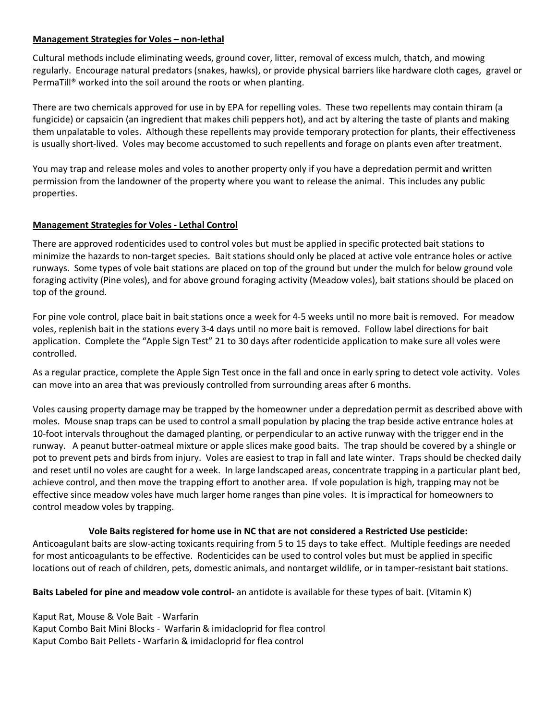### **Management Strategies for Voles – non-lethal**

Cultural methods include eliminating weeds, ground cover, litter, removal of excess mulch, thatch, and mowing regularly. Encourage natural predators (snakes, hawks), or provide physical barriers like hardware cloth cages, gravel or PermaTill® worked into the soil around the roots or when planting.

There are two chemicals approved for use in by EPA for repelling voles. These two repellents may contain thiram (a fungicide) or capsaicin (an ingredient that makes chili peppers hot), and act by altering the taste of plants and making them unpalatable to voles. Although these repellents may provide temporary protection for plants, their effectiveness is usually short-lived. Voles may become accustomed to such repellents and forage on plants even after treatment.

You may trap and release moles and voles to another property only if you have a depredation permit and written permission from the landowner of the property where you want to release the animal. This includes any public properties.

### **Management Strategies for Voles - Lethal Control**

There are approved rodenticides used to control voles but must be applied in specific protected bait stations to minimize the hazards to non-target species. Bait stations should only be placed at active vole entrance holes or active runways. Some types of vole bait stations are placed on top of the ground but under the mulch for below ground vole foraging activity (Pine voles), and for above ground foraging activity (Meadow voles), bait stations should be placed on top of the ground.

For pine vole control, place bait in bait stations once a week for 4-5 weeks until no more bait is removed. For meadow voles, replenish bait in the stations every 3-4 days until no more bait is removed. Follow label directions for bait application. Complete the "Apple Sign Test" 21 to 30 days after rodenticide application to make sure all voles were controlled.

As a regular practice, complete the Apple Sign Test once in the fall and once in early spring to detect vole activity. Voles can move into an area that was previously controlled from surrounding areas after 6 months.

Voles causing property damage may be trapped by the homeowner under a depredation permit as described above with moles. Mouse snap traps can be used to control a small population by placing the trap beside active entrance holes at 10-foot intervals throughout the damaged planting, or perpendicular to an active runway with the trigger end in the runway. A peanut butter-oatmeal mixture or apple slices make good baits. The trap should be covered by a shingle or pot to prevent pets and birds from injury. Voles are easiest to trap in fall and late winter. Traps should be checked daily and reset until no voles are caught for a week. In large landscaped areas, concentrate trapping in a particular plant bed, achieve control, and then move the trapping effort to another area. If vole population is high, trapping may not be effective since meadow voles have much larger home ranges than pine voles. It is impractical for homeowners to control meadow voles by trapping.

#### **Vole Baits registered for home use in NC that are not considered a Restricted Use pesticide:**

Anticoagulant baits are slow-acting toxicants requiring from 5 to 15 days to take effect. Multiple feedings are needed for most anticoagulants to be effective. Rodenticides can be used to control voles but must be applied in specific locations out of reach of children, pets, domestic animals, and nontarget wildlife, or in tamper-resistant bait stations.

**Baits Labeled for pine and meadow vole control-** an antidote is available for these types of bait. (Vitamin K)

Kaput Rat, Mouse & Vole Bait - Warfarin Kaput Combo Bait Mini Blocks - Warfarin & imidacloprid for flea control Kaput Combo Bait Pellets - Warfarin & imidacloprid for flea control